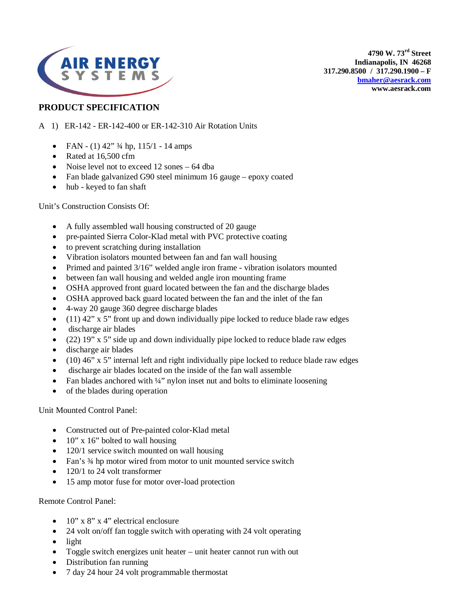

**4790 W. 73rd Street Indianapolis, IN 46268 317.290.8500 / 317.290.1900 – F [bmaher@aesrack.com](mailto:bmaher@aesrack.com) www.aesrack.com**

## **PRODUCT SPECIFICATION**

- A 1) ER-142 ER-142-400 or ER-142-310 Air Rotation Units
	- FAN (1)  $42''$   $\frac{3}{4}$  hp,  $115/1$  14 amps
	- Rated at 16,500 cfm
	- Noise level not to exceed 12 sones 64 dba
	- Fan blade galvanized G90 steel minimum 16 gauge epoxy coated
	- hub keyed to fan shaft

Unit's Construction Consists Of:

- A fully assembled wall housing constructed of 20 gauge
- pre-painted Sierra Color-Klad metal with PVC protective coating
- to prevent scratching during installation
- Vibration isolators mounted between fan and fan wall housing
- Primed and painted 3/16" welded angle iron frame vibration isolators mounted
- between fan wall housing and welded angle iron mounting frame
- OSHA approved front guard located between the fan and the discharge blades
- OSHA approved back guard located between the fan and the inlet of the fan
- 4-way 20 gauge 360 degree discharge blades
- $(11)$  42" x 5" front up and down individually pipe locked to reduce blade raw edges
- discharge air blades
- (22) 19" x 5" side up and down individually pipe locked to reduce blade raw edges
- discharge air blades
- $\bullet$  (10) 46" x 5" internal left and right individually pipe locked to reduce blade raw edges
- discharge air blades located on the inside of the fan wall assemble
- Fan blades anchored with  $\frac{1}{4}$ " nylon inset nut and bolts to eliminate loosening
- of the blades during operation

Unit Mounted Control Panel:

- Constructed out of Pre-painted color-Klad metal
- $10''$  x 16" bolted to wall housing
- 120/1 service switch mounted on wall housing
- Fan's 3/4 hp motor wired from motor to unit mounted service switch
- 120/1 to 24 volt transformer
- 15 amp motor fuse for motor over-load protection

Remote Control Panel:

- $10''$  x 8" x 4" electrical enclosure
- 24 volt on/off fan toggle switch with operating with 24 volt operating
- light
- Toggle switch energizes unit heater unit heater cannot run with out
- Distribution fan running
- 7 day 24 hour 24 volt programmable thermostat